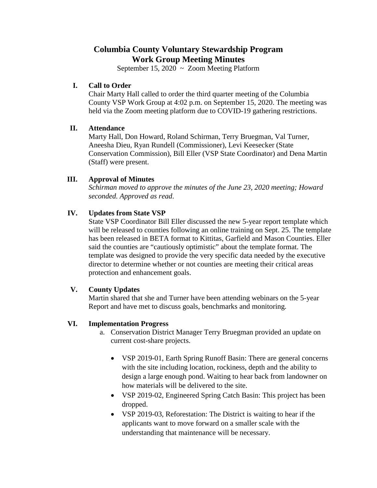# **Columbia County Voluntary Stewardship Program Work Group Meeting Minutes**

September 15, 2020  $\sim$  Zoom Meeting Platform

#### **I. Call to Order**

Chair Marty Hall called to order the third quarter meeting of the Columbia County VSP Work Group at 4:02 p.m. on September 15, 2020. The meeting was held via the Zoom meeting platform due to COVID-19 gathering restrictions.

## **II. Attendance**

Marty Hall, Don Howard, Roland Schirman, Terry Bruegman, Val Turner, Aneesha Dieu, Ryan Rundell (Commissioner), Levi Keesecker (State Conservation Commission), Bill Eller (VSP State Coordinator) and Dena Martin (Staff) were present.

## **III. Approval of Minutes**

*Schirman moved to approve the minutes of the June 23, 2020 meeting; Howard seconded. Approved as read*.

## **IV. Updates from State VSP**

State VSP Coordinator Bill Eller discussed the new 5-year report template which will be released to counties following an online training on Sept. 25. The template has been released in BETA format to Kittitas, Garfield and Mason Counties. Eller said the counties are "cautiously optimistic" about the template format. The template was designed to provide the very specific data needed by the executive director to determine whether or not counties are meeting their critical areas protection and enhancement goals.

## **V. County Updates**

Martin shared that she and Turner have been attending webinars on the 5-year Report and have met to discuss goals, benchmarks and monitoring.

#### **VI. Implementation Progress**

- a. Conservation District Manager Terry Bruegman provided an update on current cost-share projects.
	- VSP 2019-01, Earth Spring Runoff Basin: There are general concerns with the site including location, rockiness, depth and the ability to design a large enough pond. Waiting to hear back from landowner on how materials will be delivered to the site.
	- VSP 2019-02, Engineered Spring Catch Basin: This project has been dropped.
	- VSP 2019-03, Reforestation: The District is waiting to hear if the applicants want to move forward on a smaller scale with the understanding that maintenance will be necessary.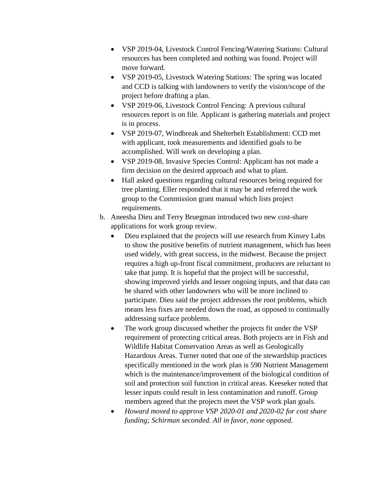- VSP 2019-04, Livestock Control Fencing/Watering Stations: Cultural resources has been completed and nothing was found. Project will move forward.
- VSP 2019-05, Livestock Watering Stations: The spring was located and CCD is talking with landowners to verify the vision/scope of the project before drafting a plan.
- VSP 2019-06, Livestock Control Fencing: A previous cultural resources report is on file. Applicant is gathering materials and project is in process.
- VSP 2019-07, Windbreak and Shelterbelt Establishment: CCD met with applicant, took measurements and identified goals to be accomplished. Will work on developing a plan.
- VSP 2019-08, Invasive Species Control: Applicant has not made a firm decision on the desired approach and what to plant.
- Hall asked questions regarding cultural resources being required for tree planting. Eller responded that it may be and referred the work group to the Commission grant manual which lists project requirements.
- b. Aneesha Dieu and Terry Bruegman introduced two new cost-share applications for work group review.
	- Dieu explained that the projects will use research from Kinsey Labs to show the positive benefits of nutrient management, which has been used widely, with great success, in the midwest. Because the project requires a high up-front fiscal commitment, producers are reluctant to take that jump. It is hopeful that the project will be successful, showing improved yields and lesser ongoing inputs, and that data can be shared with other landowners who will be more inclined to participate. Dieu said the project addresses the root problems, which means less fixes are needed down the road, as opposed to continually addressing surface problems.
	- The work group discussed whether the projects fit under the VSP requirement of protecting critical areas. Both projects are in Fish and Wildlife Habitat Conservation Areas as well as Geologically Hazardous Areas. Turner noted that one of the stewardship practices specifically mentioned in the work plan is 590 Nutrient Management which is the maintenance/improvement of the biological condition of soil and protection soil function in critical areas. Keeseker noted that lesser inputs could result in less contamination and runoff. Group members agreed that the projects meet the VSP work plan goals.
	- *Howard moved to approve VSP 2020-01 and 2020-02 for cost share funding; Schirman seconded. All in favor, none opposed.*